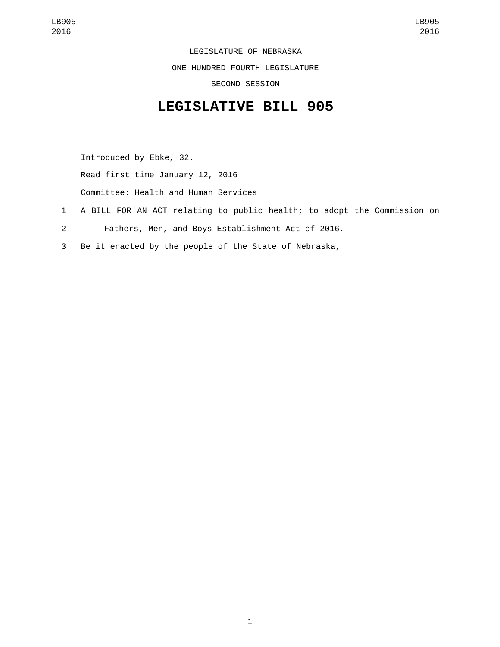LEGISLATURE OF NEBRASKA ONE HUNDRED FOURTH LEGISLATURE SECOND SESSION

## **LEGISLATIVE BILL 905**

Introduced by Ebke, 32.

Read first time January 12, 2016

Committee: Health and Human Services

- 1 A BILL FOR AN ACT relating to public health; to adopt the Commission on
- 2 Fathers, Men, and Boys Establishment Act of 2016.
- 3 Be it enacted by the people of the State of Nebraska,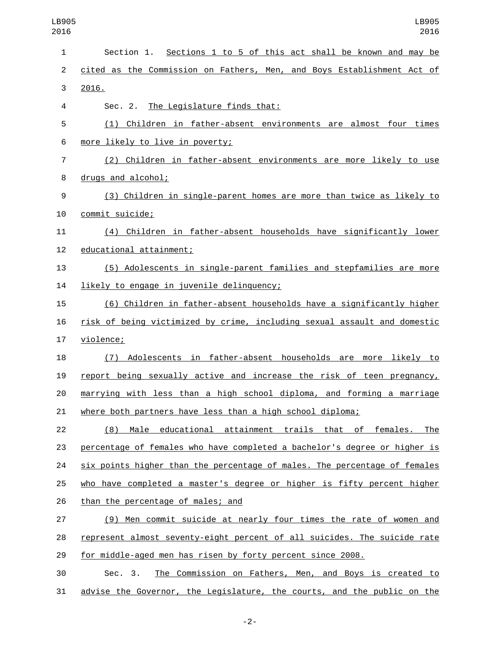| 1              | Section 1. Sections 1 to 5 of this act shall be known and may be          |
|----------------|---------------------------------------------------------------------------|
| $\overline{2}$ | cited as the Commission on Fathers, Men, and Boys Establishment Act of    |
| 3              | 2016.                                                                     |
| 4              | Sec. 2. The Legislature finds that:                                       |
| 5              | (1) Children in father-absent environments are almost four times          |
| 6              | more likely to live in poverty;                                           |
| 7              | (2) Children in father-absent environments are more likely to use         |
| 8              | drugs and alcohol;                                                        |
| 9              | (3) Children in single-parent homes are more than twice as likely to      |
| 10             | commit suicide;                                                           |
| 11             | (4) Children in father-absent households have significantly lower         |
| 12             | educational attainment;                                                   |
| 13             | (5) Adolescents in single-parent families and stepfamilies are more       |
| 14             | likely to engage in juvenile delinquency;                                 |
| 15             | (6) Children in father-absent households have a significantly higher      |
| 16             | risk of being victimized by crime, including sexual assault and domestic  |
| 17             | violence;                                                                 |
| 18             | (7) Adolescents in father-absent households are more likely to            |
| 19             | report being sexually active and increase the risk of teen pregnancy,     |
| 20             | marrying with less than a high school diploma, and forming a marriage     |
| 21             | where both partners have less than a high school diploma;                 |
| 22             | (8) Male educational attainment trails that of females. The               |
| 23             | percentage of females who have completed a bachelor's degree or higher is |
| 24             | six points higher than the percentage of males. The percentage of females |
| 25             | who have completed a master's degree or higher is fifty percent higher    |
| 26             | than the percentage of males; and                                         |
| 27             | (9) Men commit suicide at nearly four times the rate of women and         |
| 28             | represent almost seventy-eight percent of all suicides. The suicide rate  |
| 29             | for middle-aged men has risen by forty percent since 2008.                |
| 30             | The Commission on Fathers, Men, and Boys is created to<br>Sec. 3.         |
| 31             | advise the Governor, the Legislature, the courts, and the public on the   |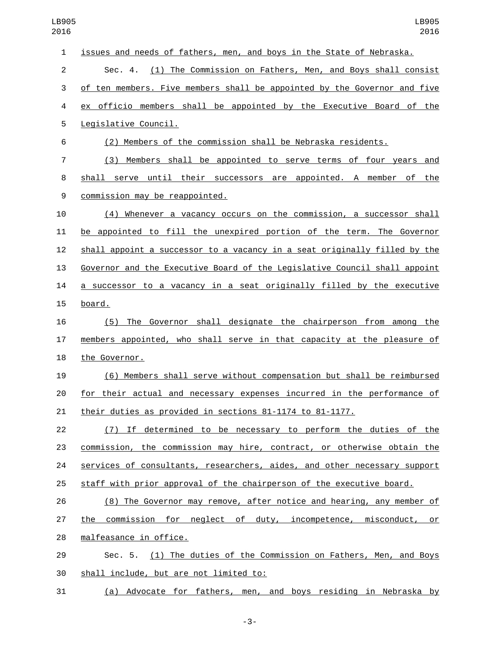| 1  | issues and needs of fathers, men, and boys in the State of Nebraska.      |
|----|---------------------------------------------------------------------------|
| 2  | Sec. 4. (1) The Commission on Fathers, Men, and Boys shall consist        |
| 3  | of ten members. Five members shall be appointed by the Governor and five  |
| 4  | ex officio members shall be appointed by the Executive Board of the       |
| 5  | Legislative Council.                                                      |
| 6  | (2) Members of the commission shall be Nebraska residents.                |
| 7  | (3) Members shall be appointed to serve terms of four years and           |
| 8  | shall serve until their successors are appointed. A member of the         |
| 9  | commission may be reappointed.                                            |
| 10 | (4) Whenever a vacancy occurs on the commission, a successor shall        |
| 11 | be appointed to fill the unexpired portion of the term. The Governor      |
| 12 | shall appoint a successor to a vacancy in a seat originally filled by the |
| 13 | Governor and the Executive Board of the Legislative Council shall appoint |
| 14 | a successor to a vacancy in a seat originally filled by the executive     |
| 15 | board.                                                                    |
| 16 | (5) The Governor shall designate the chairperson from among the           |
| 17 | members appointed, who shall serve in that capacity at the pleasure of    |
| 18 | the Governor.                                                             |
| 19 | (6) Members shall serve without compensation but shall be reimbursed      |
| 20 | for their actual and necessary expenses incurred in the performance of    |
| 21 | their duties as provided in sections 81-1174 to 81-1177.                  |
| 22 | (7) If determined to be necessary to perform the duties of the            |
| 23 | commission, the commission may hire, contract, or otherwise obtain the    |
| 24 | services of consultants, researchers, aides, and other necessary support  |
| 25 | staff with prior approval of the chairperson of the executive board.      |
| 26 | (8) The Governor may remove, after notice and hearing, any member of      |
| 27 | the commission for neglect of duty, incompetence, misconduct, or          |
| 28 | malfeasance in office.                                                    |
| 29 | Sec. 5. (1) The duties of the Commission on Fathers, Men, and Boys        |
| 30 | shall include, but are not limited to:                                    |

(a) Advocate for fathers, men, and boys residing in Nebraska by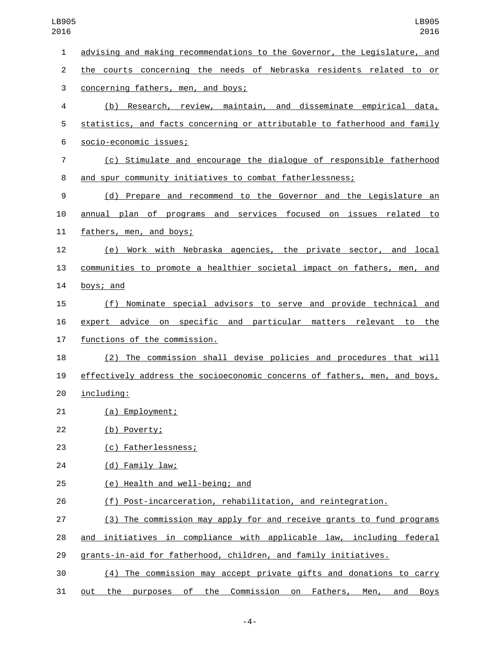| $\mathbf{1}$   | advising and making recommendations to the Governor, the Legislature, and                |
|----------------|------------------------------------------------------------------------------------------|
| $\overline{2}$ | the courts concerning the needs of Nebraska residents related to or                      |
| 3              | concerning fathers, men, and boys;                                                       |
| 4              | (b) Research, review, maintain, and disseminate empirical data,                          |
| 5              | statistics, and facts concerning or attributable to fatherhood and family                |
| 6              | socio-economic issues;                                                                   |
| 7              | (c) Stimulate and encourage the dialogue of responsible fatherhood                       |
| 8              | and spur community initiatives to combat fatherlessness;                                 |
| 9              | (d) Prepare and recommend to the Governor and the Legislature an                         |
| 10             | annual plan of programs and services focused on issues related to                        |
| 11             | fathers, men, and boys;                                                                  |
| 12             | (e) Work with Nebraska agencies, the private sector, and local                           |
| 13             | communities to promote a healthier societal impact on fathers, men, and                  |
| 14             | boys; and                                                                                |
| 15             | (f) Nominate special advisors to serve and provide technical and                         |
| 16             | expert advice on specific and particular matters relevant to the                         |
| 17             | functions of the commission.                                                             |
| 18             | (2) The commission shall devise policies and procedures that will                        |
| 19             | effectively address the socioeconomic concerns of fathers, men, and boys,                |
| 20             | including:                                                                               |
| 21             | (a) Employment;                                                                          |
| 22             | (b) Poverty;                                                                             |
| 23             | (c) Fatherlessness;                                                                      |
| 24             | (d) Family law;                                                                          |
| 25             | (e) Health and well-being; and                                                           |
| 26             | (f) Post-incarceration, rehabilitation, and reintegration.                               |
| 27             | (3) The commission may apply for and receive grants to fund programs                     |
| 28             | and initiatives in compliance with applicable law, including federal                     |
| 29             | grants-in-aid for fatherhood, children, and family initiatives.                          |
| 30             | (4) The commission may accept private gifts and donations to carry                       |
| 31             | purposes<br>of the Commission<br>on<br>Fathers,<br>out the<br>Men,<br>and<br><b>Boys</b> |